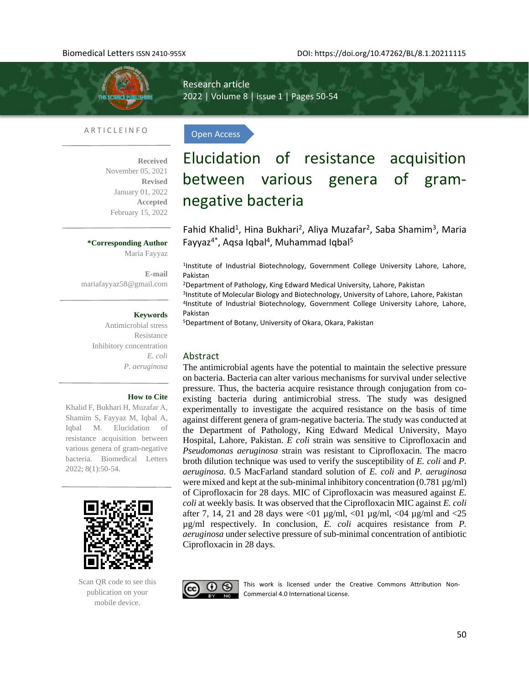

Research article 2022 | Volume 8 | issue 1 | Pages 50-54

Open Access

## A R T I C L E I N F O

**Received**  November 05, 2021 **Revised** January 01, 2022 **Accepted** February 15, 2022

## **\*Corresponding Author**

Maria Fayyaz

**E-mail**  [mariafayyaz58@gmail.com](mailto:mariafayyaz58@gmail.com)

#### **Keywords**

Antimicrobial stress Resistance Inhibitory concentration *E. coli P. aeruginosa*

### **How to Cite**

Khalid F, Bukhari H, Muzafar A, Shamim S, Fayyaz M, Iqbal A, Iqbal M. Elucidation of resistance acquisition between various genera of gram-negative bacteria. Biomedical Letters 2022; 8(1):50-54.



Scan QR code to see this publication on your mobile device.

Elucidation of resistance acquisition between various genera of gramnegative bacteria

Fahid Khalid<sup>1</sup>, Hina Bukhari<sup>2</sup>, Aliya Muzafar<sup>2</sup>, Saba Shamim<sup>3</sup>, Maria Fayyaz<sup>4\*</sup>, Aqsa Iqbal<sup>4</sup>, Muhammad Iqbal<sup>5</sup>

<sup>1</sup>Institute of Industrial Biotechnology, Government College University Lahore, Lahore, Pakistan

<sup>2</sup>Department of Pathology, King Edward Medical University, Lahore, Pakistan

3 Institute of Molecular Biology and Biotechnology, University of Lahore, Lahore, Pakistan 4 Institute of Industrial Biotechnology, Government College University Lahore, Lahore, Pakistan

<sup>5</sup>Department of Botany, University of Okara, Okara, Pakistan

## Abstract

The antimicrobial agents have the potential to maintain the selective pressure on bacteria. Bacteria can alter various mechanisms for survival under selective pressure. Thus, the bacteria acquire resistance through conjugation from coexisting bacteria during antimicrobial stress. The study was designed experimentally to investigate the acquired resistance on the basis of time against different genera of gram-negative bacteria. The study was conducted at the Department of Pathology, King Edward Medical University, Mayo Hospital, Lahore, Pakistan. *E coli* strain was sensitive to Ciprofloxacin and *Pseudomonas aeruginosa* strain was resistant to Ciprofloxacin. The macro broth dilution technique was used to verify the susceptibility of *E. coli* and *P. aeruginosa*. 0.5 MacFarland standard solution of *E. coli* and *P. aeruginosa* were mixed and kept at the sub-minimal inhibitory concentration  $(0.781 \mu g/ml)$ of Ciprofloxacin for 28 days. MIC of Ciprofloxacin was measured against *E. coli* at weekly basis*.* It was observed that the Ciprofloxacin MIC against *E. coli* after 7, 14, 21 and 28 days were  $\langle 01 \mu g/ml, \langle 01 \mu g/ml, \langle 04 \mu g/ml \rangle$  and  $\langle 25 \mu g/ml \rangle$ µg/ml respectively. In conclusion, *E. coli* acquires resistance from *P. aeruginosa* under selective pressure of sub-minimal concentration of antibiotic Ciprofloxacin in 28 days.



This work is licensed under the Creative Commons Attribution Non-Commercial 4.0 International License.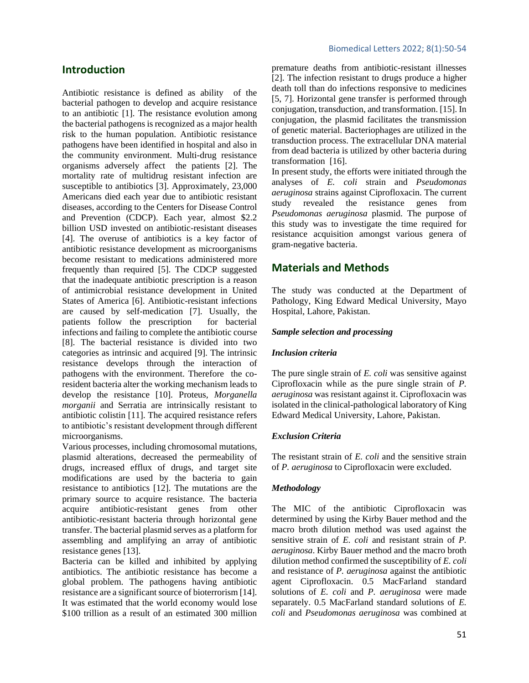# **Introduction**

Antibiotic resistance is defined as ability of the bacterial pathogen to develop and acquire resistance to an antibiotic [\[1\]](#page-4-0). The resistance evolution among the bacterial pathogens is recognized as a major health risk to the human population. Antibiotic resistance pathogens have been identified in hospital and also in the community environment. Multi-drug resistance organisms adversely affect the patients [\[2\]](#page-4-1). The mortality rate of multidrug resistant infection are susceptible to antibiotics [\[3\]](#page-4-2). Approximately, 23,000 Americans died each year due to antibiotic resistant diseases, according to the Centers for Disease Control and Prevention (CDCP). Each year, almost \$2.2 billion USD invested on antibiotic-resistant diseases [\[4\]](#page-4-3). The overuse of antibiotics is a key factor of antibiotic resistance development as microorganisms become resistant to medications administered more frequently than required [\[5\]](#page-4-4). The CDCP suggested that the inadequate antibiotic prescription is a reason of antimicrobial resistance development in United States of America [\[6\]](#page-4-5). Antibiotic-resistant infections are caused by self-medication [\[7\]](#page-4-6). Usually, the patients follow the prescription for bacterial infections and failing to complete the antibiotic course [\[8\]](#page-4-7). The bacterial resistance is divided into two categories as intrinsic and acquired [\[9\]](#page-4-8). The intrinsic resistance develops through the interaction of pathogens with the environment. Therefore the coresident bacteria alter the working mechanism leads to develop the resistance [\[10\]](#page-4-9). Proteus*, Morganella morganii* and Serratia are intrinsically resistant to antibiotic colistin [\[11\]](#page-4-10). The acquired resistance refers to antibiotic's resistant development through different microorganisms.

Various processes, including chromosomal mutations, plasmid alterations, decreased the permeability of drugs, increased efflux of drugs, and target site modifications are used by the bacteria to gain resistance to antibiotics [\[12\]](#page-4-11). The mutations are the primary source to acquire resistance. The bacteria acquire antibiotic-resistant genes from other antibiotic-resistant bacteria through horizontal gene transfer. The bacterial plasmid serves as a platform for assembling and amplifying an array of antibiotic resistance genes [\[13\]](#page-4-12).

Bacteria can be killed and inhibited by applying antibiotics. The antibiotic resistance has become a global problem. The pathogens having antibiotic resistance are a significant source of bioterrorism [\[14\]](#page-4-13). It was estimated that the world economy would lose \$100 trillion as a result of an estimated 300 million

premature deaths from antibiotic-resistant illnesses [\[2\]](#page-4-1). The infection resistant to drugs produce a higher death toll than do infections responsive to medicines [\[5,](#page-4-4) [7\]](#page-4-6). Horizontal gene transfer is performed through conjugation, transduction, and transformation. [\[15\]](#page-4-14). In conjugation, the plasmid facilitates the transmission of genetic material. Bacteriophages are utilized in the transduction process. The extracellular DNA material from dead bacteria is utilized by other bacteria during transformation [\[16\]](#page-4-15).

In present study, the efforts were initiated through the analyses of *E. coli* strain and *Pseudomonas aeruginosa* strains against Ciprofloxacin. The current study revealed the resistance genes from *Pseudomonas aeruginosa* plasmid. The purpose of this study was to investigate the time required for resistance acquisition amongst various genera of gram-negative bacteria.

## **Materials and Methods**

The study was conducted at the Department of Pathology, King Edward Medical University, Mayo Hospital, Lahore, Pakistan.

#### *Sample selection and processing*

#### *Inclusion criteria*

The pure single strain of *E. coli* was sensitive against Ciprofloxacin while as the pure single strain of *P. aeruginosa* was resistant against it. Ciprofloxacin was isolated in the clinical-pathological laboratory of King Edward Medical University, Lahore, Pakistan.

#### *Exclusion Criteria*

The resistant strain of *E. coli* and the sensitive strain of *P. aeruginosa* to Ciprofloxacin were excluded.

#### *Methodology*

The MIC of the antibiotic Ciprofloxacin was determined by using the Kirby Bauer method and the macro broth dilution method was used against the sensitive strain of *E. coli* and resistant strain of *P. aeruginosa*. Kirby Bauer method and the macro broth dilution method confirmed the susceptibility of *E. coli* and resistance of *P. aeruginosa* against the antibiotic agent Ciprofloxacin. 0.5 MacFarland standard solutions of *E. coli* and *P. aeruginosa* were made separately. 0.5 MacFarland standard solutions of *E. coli* and *Pseudomonas aeruginosa* was combined at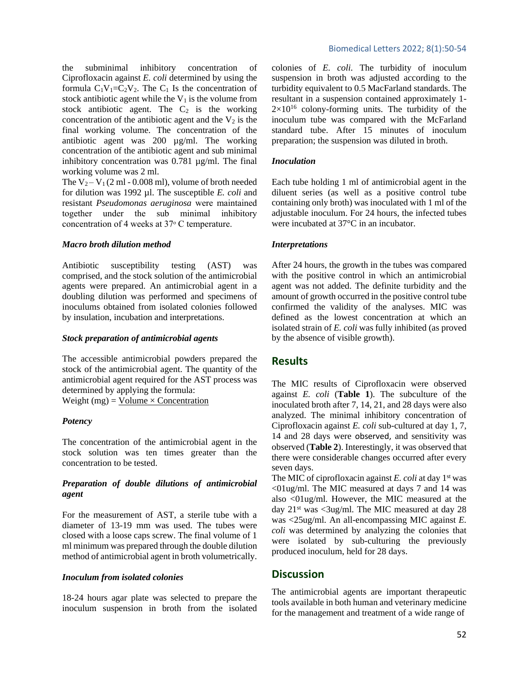the subminimal inhibitory concentration of Ciprofloxacin against *E. coli* determined by using the formula  $C_1V_1=C_2V_2$ . The  $C_1$  Is the concentration of stock antibiotic agent while the  $V_1$  is the volume from stock antibiotic agent. The  $C_2$  is the working concentration of the antibiotic agent and the  $V_2$  is the final working volume. The concentration of the antibiotic agent was 200 µg/ml. The working concentration of the antibiotic agent and sub minimal inhibitory concentration was 0.781 µg/ml. The final working volume was 2 ml.

The  $V_2 - V_1 (2 \text{ ml} - 0.008 \text{ ml})$ , volume of broth needed for dilution was 1992 µl. The susceptible *E. coli* and resistant *Pseudomonas aeruginosa* were maintained together under the sub minimal inhibitory concentration of 4 weeks at 37° C temperature.

#### *Macro broth dilution method*

Antibiotic susceptibility testing (AST) was comprised, and the stock solution of the antimicrobial agents were prepared. An antimicrobial agent in a doubling dilution was performed and specimens of inoculums obtained from isolated colonies followed by insulation, incubation and interpretations.

#### *Stock preparation of antimicrobial agents*

The accessible antimicrobial powders prepared the stock of the antimicrobial agent. The quantity of the antimicrobial agent required for the AST process was determined by applying the formula: Weight (mg) = Volume  $\times$  Concentration

### *Potency*

The concentration of the antimicrobial agent in the stock solution was ten times greater than the concentration to be tested.

## *Preparation of double dilutions of antimicrobial agent*

For the measurement of AST, a sterile tube with a diameter of 13-19 mm was used. The tubes were closed with a loose caps screw. The final volume of 1 ml minimum was prepared through the double dilution method of antimicrobial agent in broth volumetrically.

### *Inoculum from isolated colonies*

18-24 hours agar plate was selected to prepare the inoculum suspension in broth from the isolated colonies of *E. coli*. The turbidity of inoculum suspension in broth was adjusted according to the turbidity equivalent to 0.5 MacFarland standards. The resultant in a suspension contained approximately 1-  $2\times10^{16}$  colony-forming units. The turbidity of the inoculum tube was compared with the McFarland standard tube. After 15 minutes of inoculum preparation; the suspension was diluted in broth.

#### *Inoculation*

Each tube holding 1 ml of antimicrobial agent in the diluent series (as well as a positive control tube containing only broth) was inoculated with 1 ml of the adjustable inoculum. For 24 hours, the infected tubes were incubated at 37°C in an incubator.

### *Interpretations*

After 24 hours, the growth in the tubes was compared with the positive control in which an antimicrobial agent was not added. The definite turbidity and the amount of growth occurred in the positive control tube confirmed the validity of the analyses. MIC was defined as the lowest concentration at which an isolated strain of *E. coli* was fully inhibited (as proved by the absence of visible growth).

## **Results**

The MIC results of Ciprofloxacin were observed against *E. coli* (**Table 1**). The subculture of the inoculated broth after 7, 14, 21, and 28 days were also analyzed. The minimal inhibitory concentration of Ciprofloxacin against *E. coli* sub-cultured at day 1, 7, 14 and 28 days were observed, and sensitivity was observed (**Table 2**). Interestingly, it was observed that there were considerable changes occurred after every seven days.

The MIC of ciprofloxacin against *E. coli* at day 1<sup>st</sup> was <01ug/ml. The MIC measured at days 7 and 14 was also <01ug/ml. However, the MIC measured at the day  $21^{st}$  was <3ug/ml. The MIC measured at day 28 was <25ug/ml. An all-encompassing MIC against *E. coli* was determined by analyzing the colonies that were isolated by sub-culturing the previously produced inoculum, held for 28 days.

## **Discussion**

The antimicrobial agents are important therapeutic tools available in both human and veterinary medicine for the management and treatment of a wide range of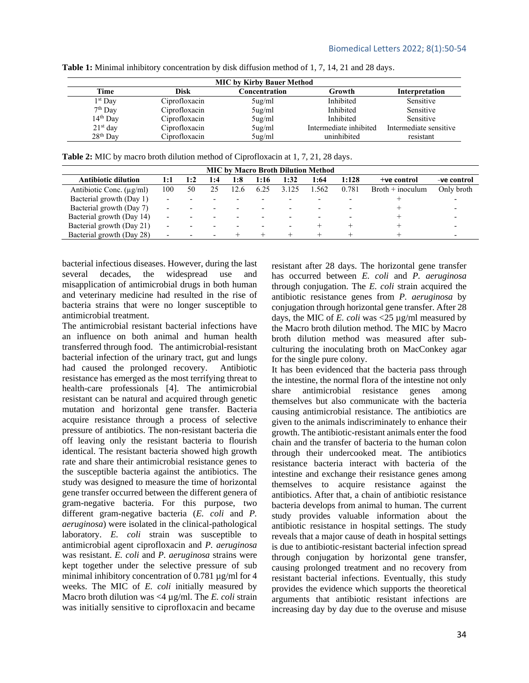| <b>MIC by Kirby Bauer Method</b> |               |                 |                        |                        |  |  |  |  |  |  |
|----------------------------------|---------------|-----------------|------------------------|------------------------|--|--|--|--|--|--|
| Time                             | Disk          | Concentration   | Growth                 | Interpretation         |  |  |  |  |  |  |
| $1st$ Day                        | Ciprofloxacin | $5\mu g/ml$     | Inhibited              | Sensitive              |  |  |  |  |  |  |
| $7th$ Day                        | Ciprofloxacin | $5\mu g/ml$     | Inhibited              | Sensitive              |  |  |  |  |  |  |
| $14th$ Day                       | Ciprofloxacin | $5\mu g/ml$     | <b>Inhibited</b>       | Sensitive              |  |  |  |  |  |  |
| $21st$ day                       | Ciprofloxacin | $5\mu g/ml$     | Intermediate inhibited | Intermediate sensitive |  |  |  |  |  |  |
| 28 <sup>th</sup> Day             | Ciprofloxacin | $5u\frac{g}{m}$ | uninhibited            | resistant              |  |  |  |  |  |  |

**Table 1:** Minimal inhibitory concentration by disk diffusion method of 1, 7, 14, 21 and 28 days.

**Table 2:** MIC by macro broth dilution method of Ciprofloxacin at 1, 7, 21, 28 days.

| <b>MIC by Macro Broth Dilution Method</b> |     |     |     |      |      |       |       |       |                    |             |  |
|-------------------------------------------|-----|-----|-----|------|------|-------|-------|-------|--------------------|-------------|--|
| <b>Antibiotic dilution</b>                | 1:1 | 1:2 | 1:4 | 1:8  | 1:16 | 1:32  | 1:64  | 1:128 | $+ve$ control      | -ve control |  |
| Antibiotic Conc. $(\mu g/ml)$             | 100 | 50  | 25  | 12.6 | 6.25 | 3.125 | 1.562 | 0.781 | $Broth + inoculum$ | Only broth  |  |
| Bacterial growth (Day 1)                  |     |     |     |      |      |       |       |       |                    |             |  |
| Bacterial growth (Day 7)                  |     |     |     |      |      |       |       |       |                    |             |  |
| Bacterial growth (Day 14)                 |     |     |     |      |      |       |       |       |                    |             |  |
| Bacterial growth (Day 21)                 |     |     |     |      |      |       |       |       |                    |             |  |
| Bacterial growth (Day 28)                 |     |     |     |      |      |       |       |       |                    |             |  |

bacterial infectious diseases. However, during the last several decades, the widespread use and misapplication of antimicrobial drugs in both human and veterinary medicine had resulted in the rise of bacteria strains that were no longer susceptible to antimicrobial treatment.

The antimicrobial resistant bacterial infections have an influence on both animal and human health transferred through food. The antimicrobial-resistant bacterial infection of the urinary tract, gut and lungs had caused the prolonged recovery. Antibiotic resistance has emerged as the most terrifying threat to health-care professionals [\[4\]](#page-4-3). The antimicrobial resistant can be natural and acquired through genetic mutation and horizontal gene transfer. Bacteria acquire resistance through a process of selective pressure of antibiotics. The non-resistant bacteria die off leaving only the resistant bacteria to flourish identical. The resistant bacteria showed high growth rate and share their antimicrobial resistance genes to the susceptible bacteria against the antibiotics. The study was designed to measure the time of horizontal gene transfer occurred between the different genera of gram-negative bacteria. For this purpose, two different gram-negative bacteria (*E. coli* and *P. aeruginosa*) were isolated in the clinical-pathological laboratory. *E. coli* strain was susceptible to antimicrobial agent ciprofloxacin and *P. aeruginosa* was resistant. *E. coli* and *P. aeruginosa* strains were kept together under the selective pressure of sub minimal inhibitory concentration of 0.781  $\mu$ g/ml for 4 weeks. The MIC of *E. coli* initially measured by Macro broth dilution was <4 µg/ml. The *E. coli* strain was initially sensitive to ciprofloxacin and became

resistant after 28 days. The horizontal gene transfer has occurred between *E. coli* and *P. aeruginosa* through conjugation. The *E. coli* strain acquired the antibiotic resistance genes from *P. aeruginosa* by conjugation through horizontal gene transfer. After 28 days, the MIC of *E. coli* was <25 µg/ml measured by the Macro broth dilution method. The MIC by Macro broth dilution method was measured after subculturing the inoculating broth on MacConkey agar for the single pure colony.

It has been evidenced that the bacteria pass through the intestine, the normal flora of the intestine not only share antimicrobial resistance genes among themselves but also communicate with the bacteria causing antimicrobial resistance. The antibiotics are given to the animals indiscriminately to enhance their growth. The antibiotic-resistant animals enter the food chain and the transfer of bacteria to the human colon through their undercooked meat. The antibiotics resistance bacteria interact with bacteria of the intestine and exchange their resistance genes among themselves to acquire resistance against the antibiotics. After that, a chain of antibiotic resistance bacteria develops from animal to human. The current study provides valuable information about the antibiotic resistance in hospital settings. The study reveals that a major cause of death in hospital settings is due to antibiotic-resistant bacterial infection spread through conjugation by horizontal gene transfer, causing prolonged treatment and no recovery from resistant bacterial infections. Eventually, this study provides the evidence which supports the theoretical arguments that antibiotic resistant infections are increasing day by day due to the overuse and misuse